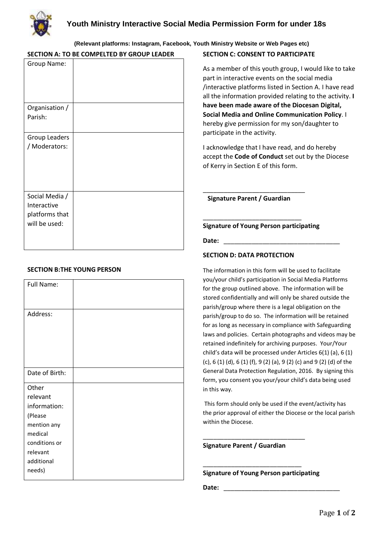

# **(Relevant platforms: Instagram, Facebook, Youth Ministry Website or Web Pages etc)**

## **SECTION A: TO BE COMPELTED BY GROUP LEADER**

| Group Name:                                                      |  |
|------------------------------------------------------------------|--|
| Organisation /<br>Parish:                                        |  |
| Group Leaders<br>/ Moderators:                                   |  |
| Social Media /<br>Interactive<br>platforms that<br>will be used: |  |

## **SECTION B:THE YOUNG PERSON**

| Full Name:     |  |
|----------------|--|
| Address:       |  |
| Date of Birth: |  |
| Other          |  |
| relevant       |  |
| information:   |  |
| (Please        |  |
| mention any    |  |
| medical        |  |
| conditions or  |  |
| relevant       |  |
| additional     |  |
| needs)         |  |

## **SECTION C: CONSENT TO PARTICIPATE**

As a member of this youth group, I would like to take part in interactive events on the social media /interactive platforms listed in Section A. I have read all the information provided relating to the activity. **I have been made aware of the Diocesan Digital, Social Media and Online Communication Policy**. I hereby give permission for my son/daughter to participate in the activity.

I acknowledge that I have read, and do hereby accept the **Code of Conduct** set out by the Diocese of Kerry in Section E of this form.

**Signature Parent / Guardian** 

\_\_\_\_\_\_\_\_\_\_\_\_\_\_\_\_\_\_\_\_\_\_\_\_\_\_\_\_

\_\_\_\_\_\_\_\_\_\_\_\_\_\_\_\_\_\_\_\_\_\_\_\_\_\_\_\_\_

#### **Signature of Young Person participating**

Date:

#### **SECTION D: DATA PROTECTION**

The information in this form will be used to facilitate you/your child's participation in Social Media Platforms for the group outlined above. The information will be stored confidentially and will only be shared outside the parish/group where there is a legal obligation on the parish/group to do so. The information will be retained for as long as necessary in compliance with Safeguarding laws and policies. Certain photographs and videos may be retained indefinitely for archiving purposes. Your/Your child's data will be processed under Articles 6(1) (a), 6 (1) (c), 6 (1) (d), 6 (1) (f), 9 (2) (a), 9 (2) (c) and 9 (2) (d) of the General Data Protection Regulation, 2016. By signing this form, you consent you your/your child's data being used in this way.

This form should only be used if the event/activity has the prior approval of either the Diocese or the local parish within the Diocese.

**Signature Parent / Guardian** 

\_\_\_\_\_\_\_\_\_\_\_\_\_\_\_\_\_\_\_\_\_\_\_\_\_\_\_\_\_

\_\_\_\_\_\_\_\_\_\_\_\_\_\_\_\_\_\_\_\_\_\_\_\_\_\_\_\_

**Signature of Young Person participating**

Date: